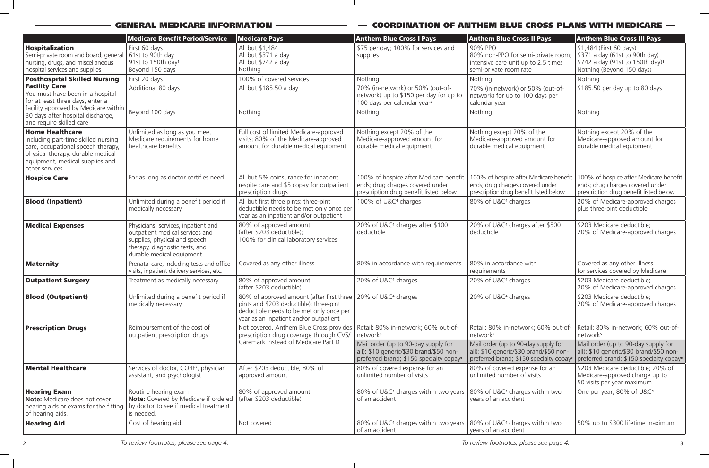# $-$  GENERAL MEDICARE INFORMATION  $-\doteq$   $-$  coordination of anthem blue cross plans with medicare  $-$

|                                                                                                                                                                                                                                              | <b>Medicare Benefit Period/Service</b>                                                                                                                                 | <b>Medicare Pays</b>                                                                                                                                                                                         | <b>Anthem Blue Cross I Pays</b>                                                                                                             | <b>Anthem Blue Cross II Pays</b>                                                                                                        | <b>Anthem Blue Cross III Pays</b>                                                                                                      |
|----------------------------------------------------------------------------------------------------------------------------------------------------------------------------------------------------------------------------------------------|------------------------------------------------------------------------------------------------------------------------------------------------------------------------|--------------------------------------------------------------------------------------------------------------------------------------------------------------------------------------------------------------|---------------------------------------------------------------------------------------------------------------------------------------------|-----------------------------------------------------------------------------------------------------------------------------------------|----------------------------------------------------------------------------------------------------------------------------------------|
| Hospitalization<br>Semi-private room and board, general<br>nursing, drugs, and miscellaneous<br>hospital services and supplies                                                                                                               | First 60 days<br>$\vert$ 61st to 90th day<br>91st to 150th day <sup>1</sup><br>Beyond 150 days                                                                         | All but \$1,484<br>All but \$371 a day<br>All but \$742 a day<br>Nothing                                                                                                                                     | \$75 per day; 100% for services and<br>supplies <sup>3</sup>                                                                                | 90% PPO<br>80% non-PPO for semi-private room;<br>intensive care unit up to 2.5 times<br>semi-private room rate                          | \$1,484 (First 60 days)<br>\$371 a day (61st to 90th day)<br>\$742 a day (91st to 150th day) <sup>1</sup><br>Nothing (Beyond 150 days) |
| <b>Posthospital Skilled Nursing</b><br><b>Facility Care</b><br>You must have been in a hospital<br>for at least three days, enter a<br>facility approved by Medicare within<br>30 days after hospital discharge,<br>and require skilled care | First 20 days<br>Additional 80 days<br>Beyond 100 days                                                                                                                 | 100% of covered services<br>All but \$185.50 a day<br>Nothing                                                                                                                                                | Nothing<br>70% (in-network) or 50% (out-of-<br>network) up to \$150 per day for up to<br>100 days per calendar year <sup>3</sup><br>Nothing | Nothing<br>70% (in-network) or 50% (out-of-<br>network) for up to 100 days per<br>calendar year<br>Nothing                              | Nothing<br>\$185.50 per day up to 80 days<br>Nothing                                                                                   |
| <b>Home Healthcare</b><br>Including part-time skilled nursing<br>care, occupational speech therapy,<br>physical therapy, durable medical<br>equipment, medical supplies and<br>other services                                                | Unlimited as long as you meet<br>Medicare requirements for home<br>healthcare benefits                                                                                 | Full cost of limited Medicare-approved<br>visits; 80% of the Medicare-approved<br>amount for durable medical equipment                                                                                       | Nothing except 20% of the<br>Medicare-approved amount for<br>durable medical equipment                                                      | Nothing except 20% of the<br>Medicare-approved amount for<br>durable medical equipment                                                  | Nothing except 20% of the<br>Medicare-approved amount for<br>durable medical equipment                                                 |
| <b>Hospice Care</b>                                                                                                                                                                                                                          | For as long as doctor certifies need                                                                                                                                   | All but 5% coinsurance for inpatient<br>respite care and \$5 copay for outpatient<br>prescription drugs                                                                                                      | 100% of hospice after Medicare benefit<br>ends; drug charges covered under<br>prescription drug benefit listed below                        | 100% of hospice after Medicare benefit<br>ends; drug charges covered under<br>prescription drug benefit listed below                    | 100% of hospice after Medicare benefit<br>ends; drug charges covered under<br>prescription drug benefit listed below                   |
| <b>Blood (Inpatient)</b>                                                                                                                                                                                                                     | Unlimited during a benefit period if<br>medically necessary                                                                                                            | All but first three pints; three-pint<br>deductible needs to be met only once per<br>year as an inpatient and/or outpatient                                                                                  | 100% of U&C <sup>4</sup> charges                                                                                                            | 80% of U&C <sup>4</sup> charges                                                                                                         | 20% of Medicare-approved charges<br>plus three-pint deductible                                                                         |
| <b>Medical Expenses</b>                                                                                                                                                                                                                      | Physicians' services, inpatient and<br>outpatient medical services and<br>supplies, physical and speech<br>therapy, diagnostic tests, and<br>durable medical equipment | 80% of approved amount<br>(after \$203 deductible);<br>100% for clinical laboratory services                                                                                                                 | 20% of U&C <sup>4</sup> charges after \$100<br>deductible                                                                                   | 20% of U&C <sup>4</sup> charges after \$500<br>deductible                                                                               | \$203 Medicare deductible;<br>20% of Medicare-approved charges                                                                         |
| <b>Maternity</b>                                                                                                                                                                                                                             | Prenatal care, including tests and office<br>visits, inpatient delivery services, etc.                                                                                 | Covered as any other illness                                                                                                                                                                                 | 80% in accordance with requirements                                                                                                         | 80% in accordance with<br>requirements                                                                                                  | Covered as any other illness<br>for services covered by Medicare                                                                       |
| <b>Outpatient Surgery</b>                                                                                                                                                                                                                    | Treatment as medically necessary                                                                                                                                       | 80% of approved amount<br>(after \$203 deductible)                                                                                                                                                           | 20% of U&C <sup>4</sup> charges                                                                                                             | 20% of U&C <sup>4</sup> charges                                                                                                         | \$203 Medicare deductible;<br>20% of Medicare-approved charges                                                                         |
| <b>Blood (Outpatient)</b>                                                                                                                                                                                                                    | Unlimited during a benefit period if<br>medically necessary                                                                                                            | 80% of approved amount (after first three   20% of U&C <sup>4</sup> charges<br>pints and \$203 deductible); three-pint<br>deductible needs to be met only once per<br>year as an inpatient and/or outpatient |                                                                                                                                             | 20% of U&C <sup>4</sup> charges                                                                                                         | \$203 Medicare deductible;<br>20% of Medicare-approved charges                                                                         |
| <b>Prescription Drugs</b>                                                                                                                                                                                                                    | Reimbursement of the cost of<br>outpatient prescription drugs                                                                                                          | Not covered. Anthem Blue Cross provides<br>prescription drug coverage through CVS/<br>Caremark instead of Medicare Part D                                                                                    | Retail: 80% in-network; 60% out-of-<br>network <sup>5</sup>                                                                                 | Retail: 80% in-network; 60% out-of-<br>network <sup>5</sup>                                                                             | Retail: 80% in-network; 60% out-of-<br>network <sup>5</sup>                                                                            |
|                                                                                                                                                                                                                                              |                                                                                                                                                                        |                                                                                                                                                                                                              | Mail order (up to 90-day supply for<br>all): \$10 generic/\$30 brand/\$50 non-<br>preferred brand; \$150 specialty copay <sup>6</sup>       | Mail order (up to 90-day supply for<br>  all): \$10 generic/\$30 brand/\$50 non-<br>preferred brand; \$150 specialty copay <sup>6</sup> | Mail order (up to 90-day supply for<br>all): \$10 generic/\$30 brand/\$50 non-<br>preferred brand; \$150 specialty copay <sup>6</sup>  |
| <b>Mental Healthcare</b>                                                                                                                                                                                                                     | Services of doctor, CORF <sup>2</sup> , physician<br>assistant, and psychologist                                                                                       | After \$203 deductible, 80% of<br>approved amount                                                                                                                                                            | 80% of covered expense for an<br>unlimited number of visits                                                                                 | 80% of covered expense for an<br>unlimited number of visits                                                                             | \$203 Medicare deductible; 20% of<br>Medicare-approved charge up to<br>50 visits per year maximum                                      |
| <b>Hearing Exam</b><br><b>Note:</b> Medicare does not cover<br>hearing aids or exams for the fitting<br>of hearing aids.                                                                                                                     | Routine hearing exam<br><b>Note:</b> Covered by Medicare if ordered<br>by doctor to see if medical treatment<br>is needed.                                             | 80% of approved amount<br>(after \$203 deductible)                                                                                                                                                           | 80% of U&C <sup>4</sup> charges within two years<br>of an accident                                                                          | 80% of U&C <sup>4</sup> charges within two<br>years of an accident                                                                      | One per year; 80% of U&C <sup>4</sup>                                                                                                  |
| <b>Hearing Aid</b>                                                                                                                                                                                                                           | Cost of hearing aid                                                                                                                                                    | Not covered                                                                                                                                                                                                  | 80% of U&C <sup>4</sup> charges within two years<br>of an accident                                                                          | 80% of U&C <sup>4</sup> charges within two<br>years of an accident                                                                      | 50% up to \$300 lifetime maximum                                                                                                       |

 $\overline{\phantom{0}}$ 

 $\mathbf{L}$